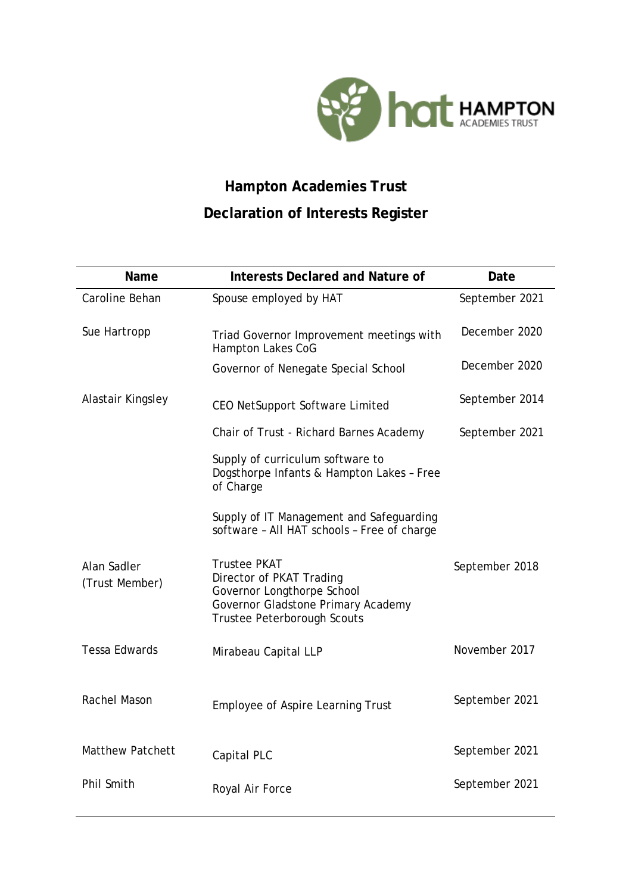

## **Hampton Academies Trust Declaration of Interests Register**

| Name                          | <b>Interests Declared and Nature of</b>                                                                                                            | Date           |
|-------------------------------|----------------------------------------------------------------------------------------------------------------------------------------------------|----------------|
| Caroline Behan                | Spouse employed by HAT                                                                                                                             | September 2021 |
| Sue Hartropp                  | Triad Governor Improvement meetings with<br>Hampton Lakes CoG                                                                                      | December 2020  |
|                               | Governor of Nenegate Special School                                                                                                                | December 2020  |
| Alastair Kingsley             | CEO NetSupport Software Limited                                                                                                                    | September 2014 |
|                               | Chair of Trust - Richard Barnes Academy                                                                                                            | September 2021 |
|                               | Supply of curriculum software to<br>Dogsthorpe Infants & Hampton Lakes - Free<br>of Charge                                                         |                |
|                               | Supply of IT Management and Safeguarding<br>software - All HAT schools - Free of charge                                                            |                |
| Alan Sadler<br>(Trust Member) | <b>Trustee PKAT</b><br>Director of PKAT Trading<br>Governor Longthorpe School<br>Governor Gladstone Primary Academy<br>Trustee Peterborough Scouts | September 2018 |
| <b>Tessa Edwards</b>          | Mirabeau Capital LLP                                                                                                                               | November 2017  |
| Rachel Mason                  | <b>Employee of Aspire Learning Trust</b>                                                                                                           | September 2021 |
| <b>Matthew Patchett</b>       | Capital PLC                                                                                                                                        | September 2021 |
| Phil Smith                    | Royal Air Force                                                                                                                                    | September 2021 |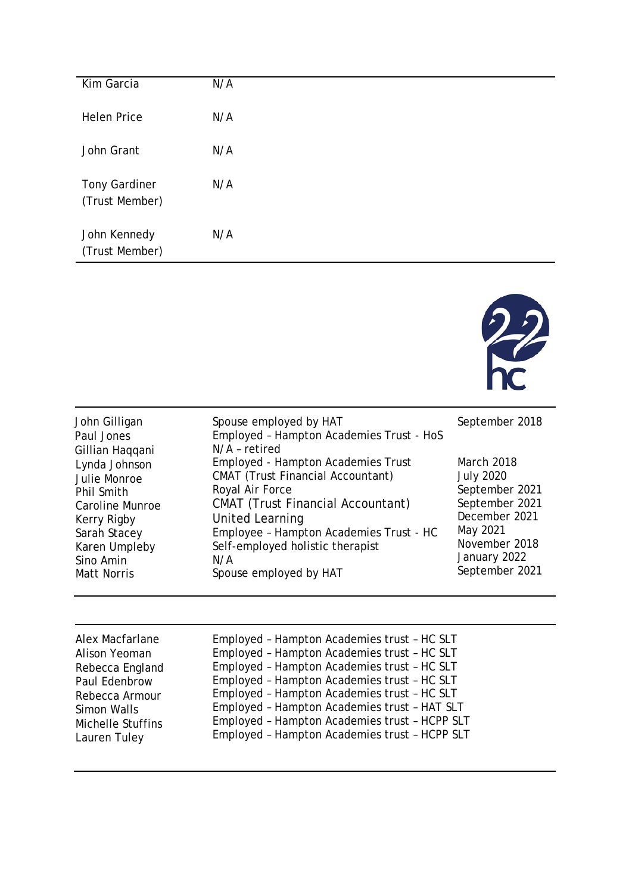| Kim Garcia                             | N/A |
|----------------------------------------|-----|
| <b>Helen Price</b>                     | N/A |
| John Grant                             | N/A |
| <b>Tony Gardiner</b><br>(Trust Member) | N/A |
| John Kennedy<br>(Trust Member)         | N/A |



| John Gilligan<br>Paul Jones<br>Gillian Haqqani | Spouse employed by HAT<br>Employed - Hampton Academies Trust - HoS<br>N/A - retired | September 2018    |
|------------------------------------------------|-------------------------------------------------------------------------------------|-------------------|
| Lynda Johnson                                  | <b>Employed - Hampton Academies Trust</b>                                           | <b>March 2018</b> |
| Julie Monroe                                   | <b>CMAT</b> (Trust Financial Accountant)                                            | <b>July 2020</b>  |
| Phil Smith                                     | Royal Air Force                                                                     | September 2021    |
| Caroline Munroe                                | <b>CMAT</b> (Trust Financial Accountant)                                            | September 2021    |
| Kerry Rigby                                    | United Learning                                                                     | December 2021     |
| Sarah Stacey                                   | Employee - Hampton Academies Trust - HC                                             | May 2021          |
| Karen Umpleby                                  | Self-employed holistic therapist                                                    | November 2018     |
| Sino Amin                                      | N/A                                                                                 | January 2022      |
| <b>Matt Norris</b>                             | Spouse employed by HAT                                                              | September 2021    |

| Employed - Hampton Academies trust - HC SLT<br>Alex Macfarlane<br>Employed - Hampton Academies trust - HC SLT<br>Alison Yeoman<br>Employed - Hampton Academies trust - HC SLT<br>Rebecca England<br>Employed - Hampton Academies trust - HC SLT<br>Paul Edenbrow<br>Employed - Hampton Academies trust - HC SLT<br>Rebecca Armour<br>Employed - Hampton Academies trust - HAT SLT<br>Simon Walls<br>Employed - Hampton Academies trust - HCPP SLT<br><b>Michelle Stuffins</b><br>Employed - Hampton Academies trust - HCPP SLT<br>Lauren Tuley |
|------------------------------------------------------------------------------------------------------------------------------------------------------------------------------------------------------------------------------------------------------------------------------------------------------------------------------------------------------------------------------------------------------------------------------------------------------------------------------------------------------------------------------------------------|
|------------------------------------------------------------------------------------------------------------------------------------------------------------------------------------------------------------------------------------------------------------------------------------------------------------------------------------------------------------------------------------------------------------------------------------------------------------------------------------------------------------------------------------------------|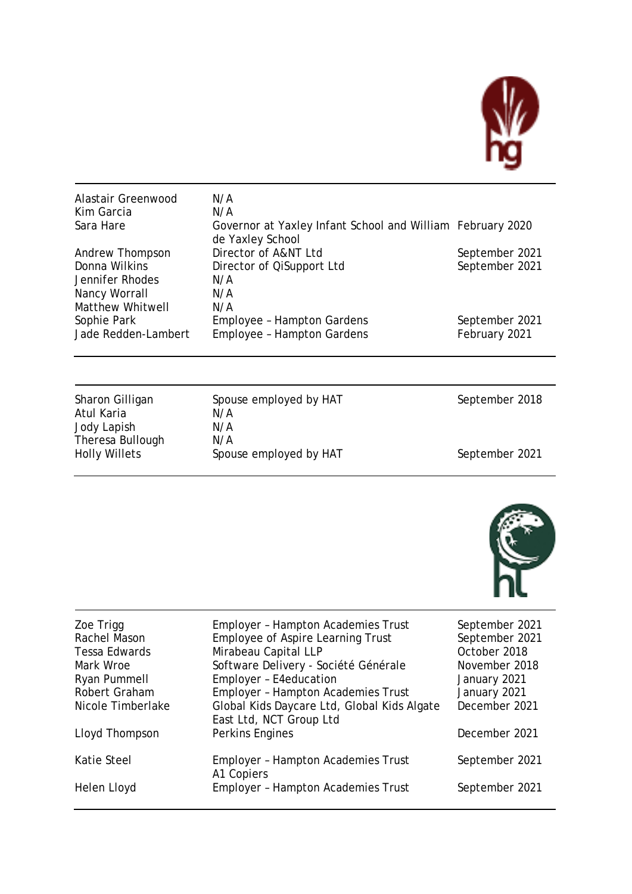

| Alastair Greenwood  | N/A                                                                            |                |
|---------------------|--------------------------------------------------------------------------------|----------------|
| Kim Garcia          | N/A                                                                            |                |
| Sara Hare           | Governor at Yaxley Infant School and William February 2020<br>de Yaxley School |                |
| Andrew Thompson     | Director of A&NT Ltd                                                           | September 2021 |
| Donna Wilkins       | Director of QiSupport Ltd                                                      | September 2021 |
| Jennifer Rhodes     | N/A                                                                            |                |
| Nancy Worrall       | N/A                                                                            |                |
| Matthew Whitwell    | N/A                                                                            |                |
| Sophie Park         | Employee - Hampton Gardens                                                     | September 2021 |
| Jade Redden-Lambert | <b>Employee - Hampton Gardens</b>                                              | February 2021  |

| Sharon Gilligan      | Spouse employed by HAT | September 2018 |
|----------------------|------------------------|----------------|
| Atul Karia           | N/A                    |                |
| Jody Lapish          | N/A                    |                |
| Theresa Bullough     | N/A                    |                |
| <b>Holly Willets</b> | Spouse employed by HAT | September 2021 |
|                      |                        |                |



| Zoe Trigg<br>Rachel Mason<br><b>Tessa Edwards</b><br>Mark Wroe<br>Ryan Pummell<br>Robert Graham<br>Nicole Timberlake | <b>Employer - Hampton Academies Trust</b><br>Employee of Aspire Learning Trust<br>Mirabeau Capital LLP<br>Software Delivery - Société Générale<br>Employer - E4education<br><b>Employer - Hampton Academies Trust</b><br>Global Kids Daycare Ltd, Global Kids Algate<br>East Ltd, NCT Group Ltd | September 2021<br>September 2021<br>October 2018<br>November 2018<br>January 2021<br>January 2021<br>December 2021 |
|----------------------------------------------------------------------------------------------------------------------|-------------------------------------------------------------------------------------------------------------------------------------------------------------------------------------------------------------------------------------------------------------------------------------------------|--------------------------------------------------------------------------------------------------------------------|
| Lloyd Thompson                                                                                                       | Perkins Engines                                                                                                                                                                                                                                                                                 | December 2021                                                                                                      |
| Katie Steel                                                                                                          | <b>Employer - Hampton Academies Trust</b><br>A1 Copiers                                                                                                                                                                                                                                         | September 2021                                                                                                     |
| Helen Lloyd                                                                                                          | <b>Employer - Hampton Academies Trust</b>                                                                                                                                                                                                                                                       | September 2021                                                                                                     |